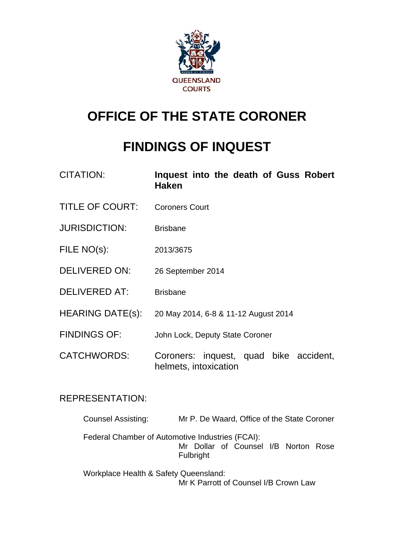

# **OFFICE OF THE STATE CORONER**

# **FINDINGS OF INQUEST**

| <b>CITATION:</b>        | Inquest into the death of Guss Robert<br><b>Haken</b>           |
|-------------------------|-----------------------------------------------------------------|
| <b>TITLE OF COURT:</b>  | <b>Coroners Court</b>                                           |
| <b>JURISDICTION:</b>    | <b>Brisbane</b>                                                 |
| FILE NO(s):             | 2013/3675                                                       |
| <b>DELIVERED ON:</b>    | 26 September 2014                                               |
| <b>DELIVERED AT:</b>    | <b>Brisbane</b>                                                 |
| <b>HEARING DATE(s):</b> | 20 May 2014, 6-8 & 11-12 August 2014                            |
| <b>FINDINGS OF:</b>     | John Lock, Deputy State Coroner                                 |
| <b>CATCHWORDS:</b>      | Coroners: inquest, quad bike accident,<br>helmets, intoxication |

# REPRESENTATION:

| <b>Counsel Assisting:</b>                        | Mr P. De Waard, Office of the State Coroner       |
|--------------------------------------------------|---------------------------------------------------|
| Federal Chamber of Automotive Industries (FCAI): | Mr Dollar of Counsel I/B Norton Rose<br>Fulbright |
| Workplace Health & Safety Queensland:            |                                                   |

Mr K Parrott of Counsel I/B Crown Law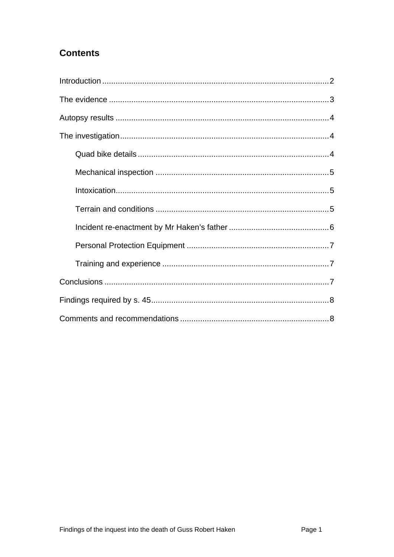# **Contents**

<span id="page-1-0"></span>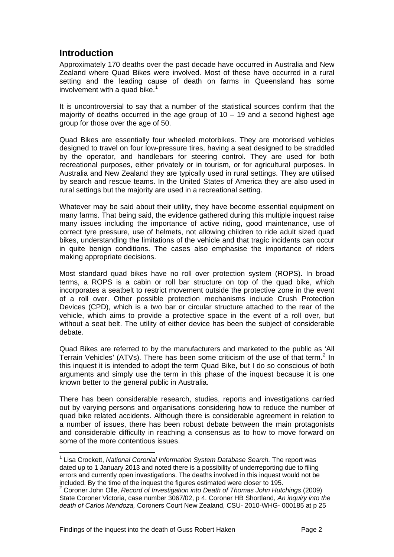## **Introduction**

<span id="page-2-0"></span>Approximately 170 deaths over the past decade have occurred in Australia and New Zealand where Quad Bikes were involved. Most of these have occurred in a rural setting and the leading cause of death on farms in Queensland has some involvement with a quad bike. $1$ 

It is uncontroversial to say that a number of the statistical sources confirm that the majority of deaths occurred in the age group of  $10 - 19$  and a second highest age group for those over the age of 50.

Quad Bikes are essentially four wheeled motorbikes. They are motorised vehicles designed to travel on four low-pressure tires, having a seat designed to be straddled by the operator, and handlebars for steering control. They are used for both recreational purposes, either privately or in tourism, or for agricultural purposes. In Australia and New Zealand they are typically used in rural settings. They are utilised by search and rescue teams. In the United States of America they are also used in rural settings but the majority are used in a recreational setting.

Whatever may be said about their utility, they have become essential equipment on many farms. That being said, the evidence gathered during this multiple inquest raise many issues including the importance of active riding, good maintenance, use of correct tyre pressure, use of helmets, not allowing children to ride adult sized quad bikes, understanding the limitations of the vehicle and that tragic incidents can occur in quite benign conditions. The cases also emphasise the importance of riders making appropriate decisions.

Most standard quad bikes have no roll over protection system (ROPS). In broad terms, a ROPS is a cabin or roll bar structure on top of the quad bike, which incorporates a seatbelt to restrict movement outside the protective zone in the event of a roll over. Other possible protection mechanisms include Crush Protection Devices (CPD), which is a two bar or circular structure attached to the rear of the vehicle, which aims to provide a protective space in the event of a roll over, but without a seat belt. The utility of either device has been the subject of considerable debate.

Quad Bikes are referred to by the manufacturers and marketed to the public as 'All Terrain Vehicles' (ATVs). There has been some criticism of the use of that term.<sup>[2](#page-2-1)</sup> In this inquest it is intended to adopt the term Quad Bike, but I do so conscious of both arguments and simply use the term in this phase of the inquest because it is one known better to the general public in Australia.

There has been considerable research, studies, reports and investigations carried out by varying persons and organisations considering how to reduce the number of quad bike related accidents. Although there is considerable agreement in relation to a number of issues, there has been robust debate between the main protagonists and considerable difficulty in reaching a consensus as to how to move forward on some of the more contentious issues.

l

<sup>&</sup>lt;sup>1</sup> Lisa Crockett, *National Coronial Information System Database Search.* The report was dated up to 1 January 2013 and noted there is a possibility of underreporting due to filing errors and currently open investigations. The deaths involved in this inquest would not be included. By the time of the inquest the figures estimated were closer to 195. 2

<span id="page-2-1"></span><sup>&</sup>lt;sup>2</sup> Coroner John Olle, *Record of Investigation into Death of Thomas John Hutchings (2009)* State Coroner Victoria, case number 3067/02, p 4. Coroner HB Shortland, *An inquiry into the death of Carlos Mendoza,* Coroners Court New Zealand, CSU- 2010-WHG- 000185 at p 25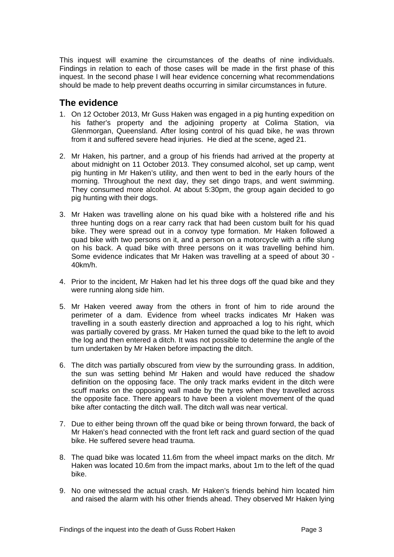This inquest will examine the circumstances of the deaths of nine individuals. Findings in relation to each of those cases will be made in the first phase of this inquest. In the second phase I will hear evidence concerning what recommendations should be made to help prevent deaths occurring in similar circumstances in future.

## <span id="page-3-0"></span>**The evidence**

- 1. On 12 October 2013, Mr Guss Haken was engaged in a pig hunting expedition on his father's property and the adjoining property at Colima Station, via Glenmorgan, Queensland. After losing control of his quad bike, he was thrown from it and suffered severe head injuries. He died at the scene, aged 21.
- 2. Mr Haken, his partner, and a group of his friends had arrived at the property at about midnight on 11 October 2013. They consumed alcohol, set up camp, went pig hunting in Mr Haken's utility, and then went to bed in the early hours of the morning. Throughout the next day, they set dingo traps, and went swimming. They consumed more alcohol. At about 5:30pm, the group again decided to go pig hunting with their dogs.
- 3. Mr Haken was travelling alone on his quad bike with a holstered rifle and his three hunting dogs on a rear carry rack that had been custom built for his quad bike. They were spread out in a convoy type formation. Mr Haken followed a quad bike with two persons on it, and a person on a motorcycle with a rifle slung on his back. A quad bike with three persons on it was travelling behind him. Some evidence indicates that Mr Haken was travelling at a speed of about 30 - 40km/h.
- 4. Prior to the incident, Mr Haken had let his three dogs off the quad bike and they were running along side him.
- 5. Mr Haken veered away from the others in front of him to ride around the perimeter of a dam. Evidence from wheel tracks indicates Mr Haken was travelling in a south easterly direction and approached a log to his right, which was partially covered by grass. Mr Haken turned the quad bike to the left to avoid the log and then entered a ditch. It was not possible to determine the angle of the turn undertaken by Mr Haken before impacting the ditch.
- 6. The ditch was partially obscured from view by the surrounding grass. In addition, the sun was setting behind Mr Haken and would have reduced the shadow definition on the opposing face. The only track marks evident in the ditch were scuff marks on the opposing wall made by the tyres when they travelled across the opposite face. There appears to have been a violent movement of the quad bike after contacting the ditch wall. The ditch wall was near vertical.
- 7. Due to either being thrown off the quad bike or being thrown forward, the back of Mr Haken's head connected with the front left rack and guard section of the quad bike. He suffered severe head trauma.
- 8. The quad bike was located 11.6m from the wheel impact marks on the ditch. Mr Haken was located 10.6m from the impact marks, about 1m to the left of the quad bike.
- 9. No one witnessed the actual crash. Mr Haken's friends behind him located him and raised the alarm with his other friends ahead. They observed Mr Haken lying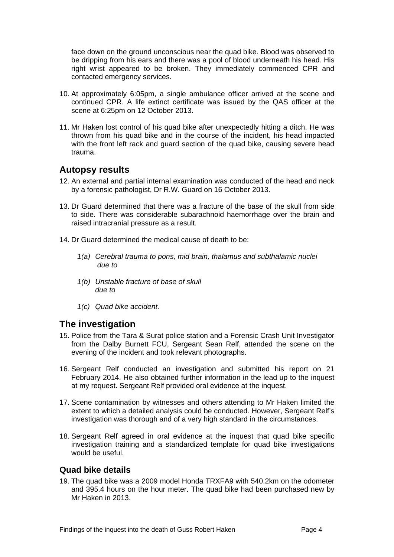face down on the ground unconscious near the quad bike. Blood was observed to be dripping from his ears and there was a pool of blood underneath his head. His right wrist appeared to be broken. They immediately commenced CPR and contacted emergency services.

- 10. At approximately 6:05pm, a single ambulance officer arrived at the scene and continued CPR. A life extinct certificate was issued by the QAS officer at the scene at 6:25pm on 12 October 2013.
- 11. Mr Haken lost control of his quad bike after unexpectedly hitting a ditch. He was thrown from his quad bike and in the course of the incident, his head impacted with the front left rack and quard section of the quad bike, causing severe head trauma.

## <span id="page-4-0"></span>**Autopsy results**

- 12. An external and partial internal examination was conducted of the head and neck by a forensic pathologist, Dr R.W. Guard on 16 October 2013.
- 13. Dr Guard determined that there was a fracture of the base of the skull from side to side. There was considerable subarachnoid haemorrhage over the brain and raised intracranial pressure as a result.
- 14. Dr Guard determined the medical cause of death to be:
	- *1(a) Cerebral trauma to pons, mid brain, thalamus and subthalamic nuclei due to*
	- *1(b) Unstable fracture of base of skull due to*
	- *1(c) Quad bike accident.*

## <span id="page-4-1"></span>**The investigation**

- 15. Police from the Tara & Surat police station and a Forensic Crash Unit Investigator from the Dalby Burnett FCU, Sergeant Sean Relf, attended the scene on the evening of the incident and took relevant photographs.
- 16. Sergeant Relf conducted an investigation and submitted his report on 21 February 2014. He also obtained further information in the lead up to the inquest at my request. Sergeant Relf provided oral evidence at the inquest.
- 17. Scene contamination by witnesses and others attending to Mr Haken limited the extent to which a detailed analysis could be conducted. However, Sergeant Relf's investigation was thorough and of a very high standard in the circumstances.
- 18. Sergeant Relf agreed in oral evidence at the inquest that quad bike specific investigation training and a standardized template for quad bike investigations would be useful.

#### <span id="page-4-2"></span>**Quad bike details**

19. The quad bike was a 2009 model Honda TRXFA9 with 540.2km on the odometer and 395.4 hours on the hour meter. The quad bike had been purchased new by Mr Haken in 2013.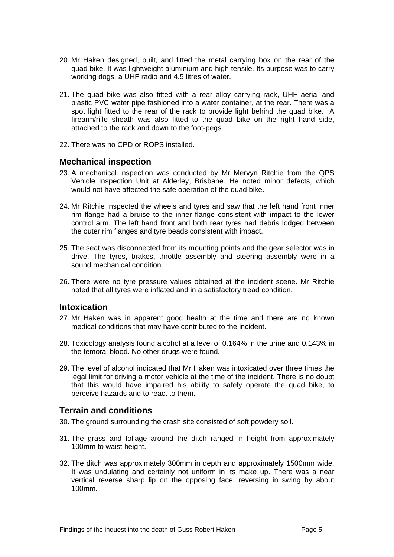- 20. Mr Haken designed, built, and fitted the metal carrying box on the rear of the quad bike. It was lightweight aluminium and high tensile. Its purpose was to carry working dogs, a UHF radio and 4.5 litres of water.
- 21. The quad bike was also fitted with a rear alloy carrying rack, UHF aerial and plastic PVC water pipe fashioned into a water container, at the rear. There was a spot light fitted to the rear of the rack to provide light behind the quad bike. A firearm/rifle sheath was also fitted to the quad bike on the right hand side, attached to the rack and down to the foot-pegs.
- 22. There was no CPD or ROPS installed.

#### <span id="page-5-0"></span>**Mechanical inspection**

- 23. A mechanical inspection was conducted by Mr Mervyn Ritchie from the QPS Vehicle Inspection Unit at Alderley, Brisbane. He noted minor defects, which would not have affected the safe operation of the quad bike.
- 24. Mr Ritchie inspected the wheels and tyres and saw that the left hand front inner rim flange had a bruise to the inner flange consistent with impact to the lower control arm. The left hand front and both rear tyres had debris lodged between the outer rim flanges and tyre beads consistent with impact.
- 25. The seat was disconnected from its mounting points and the gear selector was in drive. The tyres, brakes, throttle assembly and steering assembly were in a sound mechanical condition.
- 26. There were no tyre pressure values obtained at the incident scene. Mr Ritchie noted that all tyres were inflated and in a satisfactory tread condition.

#### <span id="page-5-1"></span>**Intoxication**

- 27. Mr Haken was in apparent good health at the time and there are no known medical conditions that may have contributed to the incident.
- 28. Toxicology analysis found alcohol at a level of 0.164% in the urine and 0.143% in the femoral blood. No other drugs were found.
- 29. The level of alcohol indicated that Mr Haken was intoxicated over three times the legal limit for driving a motor vehicle at the time of the incident. There is no doubt that this would have impaired his ability to safely operate the quad bike, to perceive hazards and to react to them.

#### <span id="page-5-2"></span>**Terrain and conditions**

- 30. The ground surrounding the crash site consisted of soft powdery soil.
- 31. The grass and foliage around the ditch ranged in height from approximately 100mm to waist height.
- 32. The ditch was approximately 300mm in depth and approximately 1500mm wide. It was undulating and certainly not uniform in its make up. There was a near vertical reverse sharp lip on the opposing face, reversing in swing by about 100mm.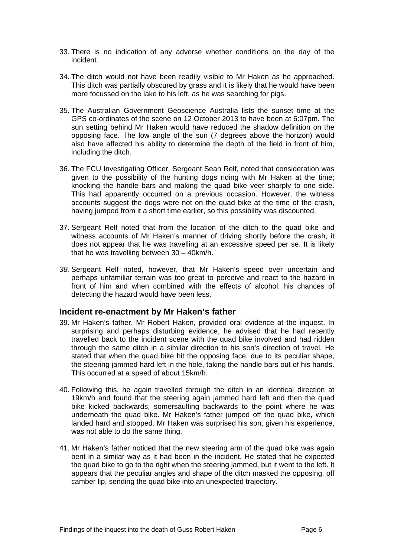- 33. There is no indication of any adverse whether conditions on the day of the incident.
- 34. The ditch would not have been readily visible to Mr Haken as he approached. This ditch was partially obscured by grass and it is likely that he would have been more focussed on the lake to his left, as he was searching for pigs.
- 35. The Australian Government Geoscience Australia lists the sunset time at the GPS co-ordinates of the scene on 12 October 2013 to have been at 6:07pm. The sun setting behind Mr Haken would have reduced the shadow definition on the opposing face. The low angle of the sun (7 degrees above the horizon) would also have affected his ability to determine the depth of the field in front of him, including the ditch.
- 36. The FCU Investigating Officer, Sergeant Sean Relf, noted that consideration was given to the possibility of the hunting dogs riding with Mr Haken at the time; knocking the handle bars and making the quad bike veer sharply to one side. This had apparently occurred on a previous occasion. However, the witness accounts suggest the dogs were not on the quad bike at the time of the crash, having jumped from it a short time earlier, so this possibility was discounted.
- 37. Sergeant Relf noted that from the location of the ditch to the quad bike and witness accounts of Mr Haken's manner of driving shortly before the crash, it does not appear that he was travelling at an excessive speed per se. It is likely that he was travelling between 30 – 40km/h.
- *38.* Sergeant Relf noted, however, that Mr Haken's speed over uncertain and perhaps unfamiliar terrain was too great to perceive and react to the hazard in front of him and when combined with the effects of alcohol, his chances of detecting the hazard would have been less.

#### <span id="page-6-0"></span>**Incident re-enactment by Mr Haken's father**

- 39. Mr Haken's father, Mr Robert Haken, provided oral evidence at the inquest. In surprising and perhaps disturbing evidence, he advised that he had recently travelled back to the incident scene with the quad bike involved and had ridden through the same ditch in a similar direction to his son's direction of travel. He stated that when the quad bike hit the opposing face, due to its peculiar shape, the steering jammed hard left in the hole, taking the handle bars out of his hands. This occurred at a speed of about 15km/h.
- 40. Following this, he again travelled through the ditch in an identical direction at 19km/h and found that the steering again jammed hard left and then the quad bike kicked backwards, somersaulting backwards to the point where he was underneath the quad bike. Mr Haken's father jumped off the quad bike, which landed hard and stopped. Mr Haken was surprised his son, given his experience, was not able to do the same thing.
- 41. Mr Haken's father noticed that the new steering arm of the quad bike was again bent in a similar way as it had been in the incident. He stated that he expected the quad bike to go to the right when the steering jammed, but it went to the left. It appears that the peculiar angles and shape of the ditch masked the opposing, off camber lip, sending the quad bike into an unexpected trajectory.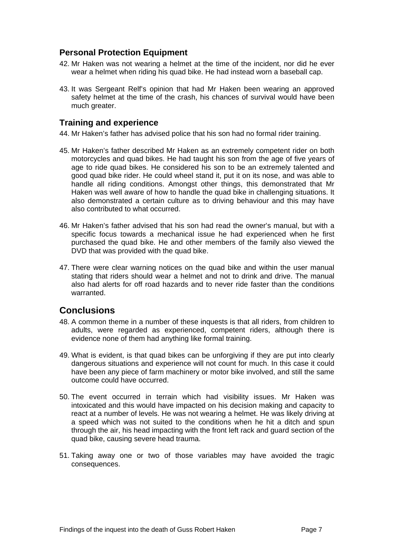## <span id="page-7-0"></span>**Personal Protection Equipment**

- 42. Mr Haken was not wearing a helmet at the time of the incident, nor did he ever wear a helmet when riding his quad bike. He had instead worn a baseball cap.
- 43. It was Sergeant Relf's opinion that had Mr Haken been wearing an approved safety helmet at the time of the crash, his chances of survival would have been much greater.

#### <span id="page-7-1"></span>**Training and experience**

44. Mr Haken's father has advised police that his son had no formal rider training.

- 45. Mr Haken's father described Mr Haken as an extremely competent rider on both motorcycles and quad bikes. He had taught his son from the age of five years of age to ride quad bikes. He considered his son to be an extremely talented and good quad bike rider. He could wheel stand it, put it on its nose, and was able to handle all riding conditions. Amongst other things, this demonstrated that Mr Haken was well aware of how to handle the quad bike in challenging situations. It also demonstrated a certain culture as to driving behaviour and this may have also contributed to what occurred.
- 46. Mr Haken's father advised that his son had read the owner's manual, but with a specific focus towards a mechanical issue he had experienced when he first purchased the quad bike. He and other members of the family also viewed the DVD that was provided with the quad bike.
- 47. There were clear warning notices on the quad bike and within the user manual stating that riders should wear a helmet and not to drink and drive. The manual also had alerts for off road hazards and to never ride faster than the conditions warranted.

## <span id="page-7-2"></span>**Conclusions**

- 48. A common theme in a number of these inquests is that all riders, from children to adults, were regarded as experienced, competent riders, although there is evidence none of them had anything like formal training.
- 49. What is evident, is that quad bikes can be unforgiving if they are put into clearly dangerous situations and experience will not count for much. In this case it could have been any piece of farm machinery or motor bike involved, and still the same outcome could have occurred.
- 50. The event occurred in terrain which had visibility issues. Mr Haken was intoxicated and this would have impacted on his decision making and capacity to react at a number of levels. He was not wearing a helmet. He was likely driving at a speed which was not suited to the conditions when he hit a ditch and spun through the air, his head impacting with the front left rack and guard section of the quad bike, causing severe head trauma.
- 51. Taking away one or two of those variables may have avoided the tragic consequences.